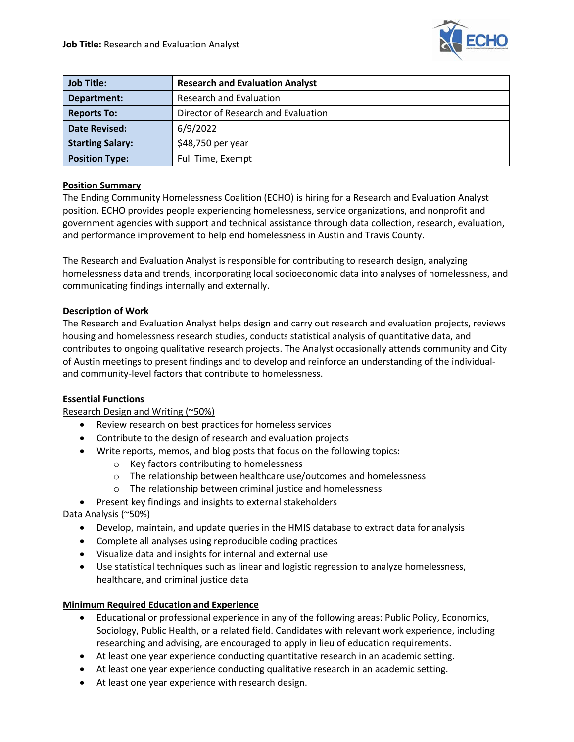

| <b>Job Title:</b>       | <b>Research and Evaluation Analyst</b> |
|-------------------------|----------------------------------------|
| Department:             | <b>Research and Evaluation</b>         |
| <b>Reports To:</b>      | Director of Research and Evaluation    |
| <b>Date Revised:</b>    | 6/9/2022                               |
| <b>Starting Salary:</b> | \$48,750 per year                      |
| <b>Position Type:</b>   | Full Time, Exempt                      |

# **Position Summary**

The Ending Community Homelessness Coalition (ECHO) is hiring for a Research and Evaluation Analyst position. ECHO provides people experiencing homelessness, service organizations, and nonprofit and government agencies with support and technical assistance through data collection, research, evaluation, and performance improvement to help end homelessness in Austin and Travis County.

The Research and Evaluation Analyst is responsible for contributing to research design, analyzing homelessness data and trends, incorporating local socioeconomic data into analyses of homelessness, and communicating findings internally and externally.

### **Description of Work**

The Research and Evaluation Analyst helps design and carry out research and evaluation projects, reviews housing and homelessness research studies, conducts statistical analysis of quantitative data, and contributes to ongoing qualitative research projects. The Analyst occasionally attends community and City of Austin meetings to present findings and to develop and reinforce an understanding of the individualand community-level factors that contribute to homelessness.

# **Essential Functions**

### Research Design and Writing (~50%)

- Review research on best practices for homeless services
- Contribute to the design of research and evaluation projects
- Write reports, memos, and blog posts that focus on the following topics:
	- o Key factors contributing to homelessness
	- o The relationship between healthcare use/outcomes and homelessness
	- o The relationship between criminal justice and homelessness
- Present key findings and insights to external stakeholders

### Data Analysis (~50%)

- Develop, maintain, and update queries in the HMIS database to extract data for analysis
- Complete all analyses using reproducible coding practices
- Visualize data and insights for internal and external use
- Use statistical techniques such as linear and logistic regression to analyze homelessness, healthcare, and criminal justice data

### **Minimum Required Education and Experience**

- Educational or professional experience in any of the following areas: Public Policy, Economics, Sociology, Public Health, or a related field. Candidates with relevant work experience, including researching and advising, are encouraged to apply in lieu of education requirements.
- At least one year experience conducting quantitative research in an academic setting.
- At least one year experience conducting qualitative research in an academic setting.
- At least one year experience with research design.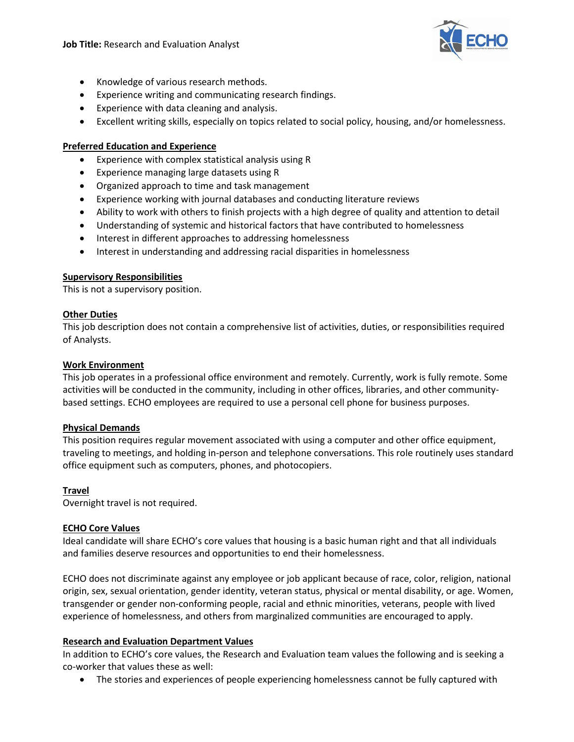

- Knowledge of various research methods.
- Experience writing and communicating research findings.
- Experience with data cleaning and analysis.
- Excellent writing skills, especially on topics related to social policy, housing, and/or homelessness.

# **Preferred Education and Experience**

- Experience with complex statistical analysis using R
- Experience managing large datasets using R
- Organized approach to time and task management
- Experience working with journal databases and conducting literature reviews
- Ability to work with others to finish projects with a high degree of quality and attention to detail
- Understanding of systemic and historical factors that have contributed to homelessness
- Interest in different approaches to addressing homelessness
- Interest in understanding and addressing racial disparities in homelessness

### **Supervisory Responsibilities**

This is not a supervisory position.

### **Other Duties**

This job description does not contain a comprehensive list of activities, duties, or responsibilities required of Analysts.

### **Work Environment**

This job operates in a professional office environment and remotely. Currently, work is fully remote. Some activities will be conducted in the community, including in other offices, libraries, and other communitybased settings. ECHO employees are required to use a personal cell phone for business purposes.

### **Physical Demands**

This position requires regular movement associated with using a computer and other office equipment, traveling to meetings, and holding in-person and telephone conversations. This role routinely uses standard office equipment such as computers, phones, and photocopiers.

### **Travel**

Overnight travel is not required.

### **ECHO Core Values**

Ideal candidate will share ECHO's core values that housing is a basic human right and that all individuals and families deserve resources and opportunities to end their homelessness.

ECHO does not discriminate against any employee or job applicant because of race, color, religion, national origin, sex, sexual orientation, gender identity, veteran status, physical or mental disability, or age. Women, transgender or gender non-conforming people, racial and ethnic minorities, veterans, people with lived experience of homelessness, and others from marginalized communities are encouraged to apply.

### **Research and Evaluation Department Values**

In addition to ECHO's core values, the Research and Evaluation team values the following and is seeking a co-worker that values these as well:

• The stories and experiences of people experiencing homelessness cannot be fully captured with